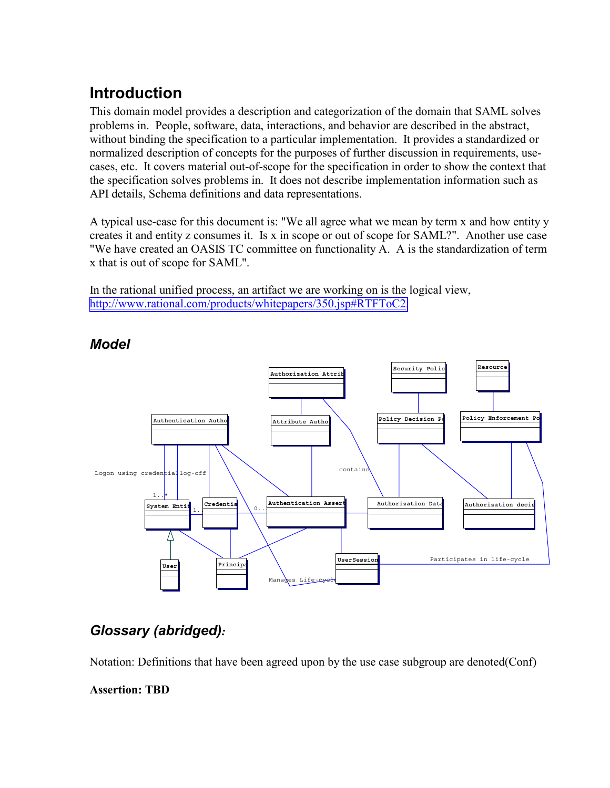## **Introduction**

This domain model provides a description and categorization of the domain that SAML solves problems in. People, software, data, interactions, and behavior are described in the abstract, without binding the specification to a particular implementation. It provides a standardized or normalized description of concepts for the purposes of further discussion in requirements, usecases, etc. It covers material out-of-scope for the specification in order to show the context that the specification solves problems in. It does not describe implementation information such as API details, Schema definitions and data representations.

A typical use-case for this document is: "We all agree what we mean by term x and how entity y creates it and entity z consumes it. Is x in scope or out of scope for SAML?". Another use case "We have created an OASIS TC committee on functionality A. A is the standardization of term x that is out of scope for SAML".

In the rational unified process, an artifact we are working on is the logical view, [http://www.rational.com/products/whitepapers/350.jsp#RTFToC2.](http://www.rational.com/products/whitepapers/350.jsp#RTFToC2)



## *Model*

## *Glossary (abridged):*

Notation: Definitions that have been agreed upon by the use case subgroup are denoted(Conf) **Assertion: TBD**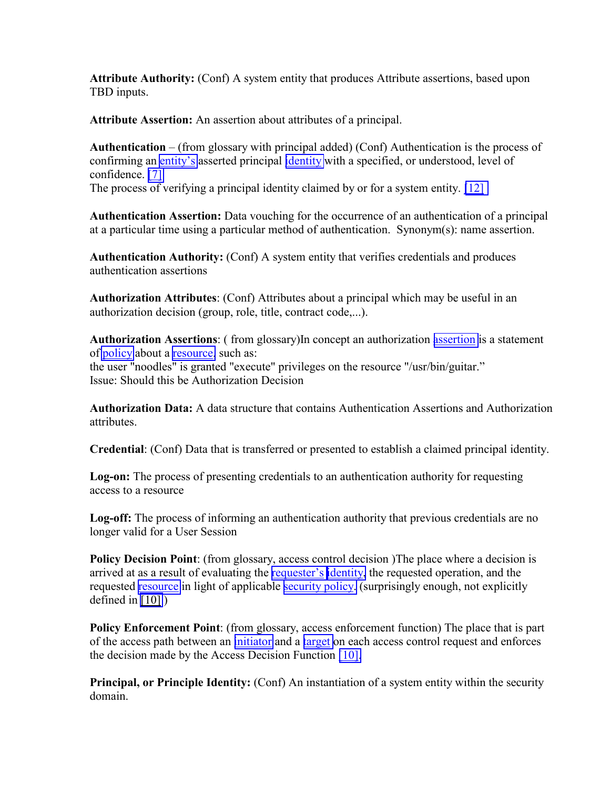**Attribute Authority:** (Conf) A system entity that produces Attribute assertions, based upon TBD inputs.

**Attribute Assertion:** An assertion about attributes of a principal.

**Authentication** – (from glossary with principal added) (Conf) Authentication is the process of confirming an [entity's](http://www.oasis-open.org/committees/security/docs/#EntityDef) asserted principal [identity](http://www.oasis-open.org/committees/security/docs/#IdentityDef) with a specified, or understood, level of confidence. [\[7\]](http://www.oasis-open.org/committees/security/docs/#TrustInCyberspaceRef)

The process of verifying a principal identity claimed by or for a system entity. [\[12\]](http://www.oasis-open.org/committees/security/docs/#AznAPIRef)

**Authentication Assertion:** Data vouching for the occurrence of an authentication of a principal at a particular time using a particular method of authentication. Synonym(s): name assertion.

**Authentication Authority:** (Conf) A system entity that verifies credentials and produces authentication assertions

**Authorization Attributes**: (Conf) Attributes about a principal which may be useful in an authorization decision (group, role, title, contract code,...).

**Authorization Assertions**: ( from glossary)In concept an authorization [assertion](http://www.oasis-open.org/committees/security/docs/#AssertionDef) is a statement of [policy](http://www.oasis-open.org/committees/security/docs/#PolicyDef) about a [resource,](http://www.oasis-open.org/committees/security/docs/#ResourceDef) such as: the user "noodles" is granted "execute" privileges on the resource "/usr/bin/guitar." Issue: Should this be Authorization Decision

**Authorization Data:** A data structure that contains Authentication Assertions and Authorization attributes.

**Credential**: (Conf) Data that is transferred or presented to establish a claimed principal identity.

**Log-on:** The process of presenting credentials to an authentication authority for requesting access to a resource

**Log-off:** The process of informing an authentication authority that previous credentials are no longer valid for a User Session

**Policy Decision Point**: (from glossary, access control decision )The place where a decision is arrived at as a result of evaluating the [requester's](http://www.oasis-open.org/committees/security/docs/#RequesterDef) [identity,](http://www.oasis-open.org/committees/security/docs/#IdentityDef) the requested operation, and the requested [resource](http://www.oasis-open.org/committees/security/docs/#ResourceDef) in light of applicable [security policy.](http://www.oasis-open.org/committees/security/docs/#SecurityPolicyDef) (surprisingly enough, not explicitly defined in [\[10\]](http://www.oasis-open.org/committees/security/docs/#ISOAccessCntlFrmwkRef) )

**Policy Enforcement Point**: (from glossary, access enforcement function) The place that is part of the access path between an [initiator](http://www.oasis-open.org/committees/security/docs/#InitiatorDef) and a [target](http://www.oasis-open.org/committees/security/docs/#TargetDef) on each access control request and enforces the decision made by the Access Decision Function [\[10\].](http://www.oasis-open.org/committees/security/docs/#ISOSecArchRef)

Principal, or Principle Identity: (Conf) An instantiation of a system entity within the security domain.